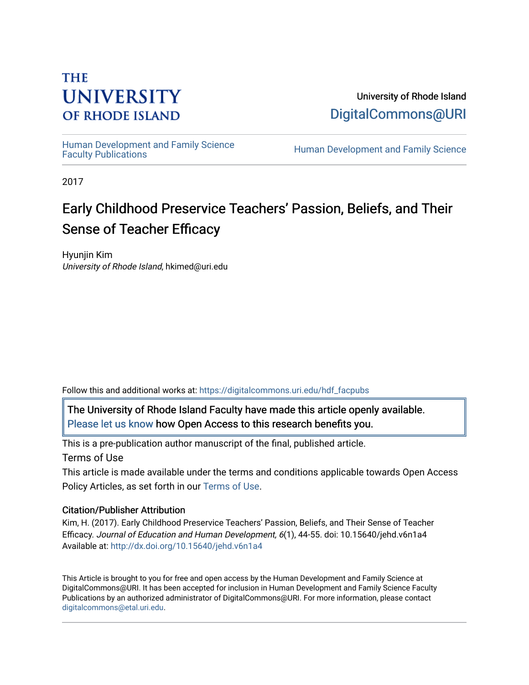# **THE UNIVERSITY OF RHODE ISLAND**

University of Rhode Island [DigitalCommons@URI](https://digitalcommons.uri.edu/) 

Human Development and Family Science<br>Faculty Publications

Human Development and Family Science

2017

# Early Childhood Preservice Teachers' Passion, Beliefs, and Their Sense of Teacher Efficacy

Hyunjin Kim University of Rhode Island, hkimed@uri.edu

Follow this and additional works at: [https://digitalcommons.uri.edu/hdf\\_facpubs](https://digitalcommons.uri.edu/hdf_facpubs?utm_source=digitalcommons.uri.edu%2Fhdf_facpubs%2F38&utm_medium=PDF&utm_campaign=PDFCoverPages) 

The University of Rhode Island Faculty have made this article openly available. [Please let us know](http://web.uri.edu/library-digital-initiatives/open-access-online-form/) how Open Access to this research benefits you.

This is a pre-publication author manuscript of the final, published article. Terms of Use

This article is made available under the terms and conditions applicable towards Open Access Policy Articles, as set forth in our [Terms of Use](https://digitalcommons.uri.edu/hdf_facpubs/oa_policy_terms.html).

# Citation/Publisher Attribution

Kim, H. (2017). Early Childhood Preservice Teachers' Passion, Beliefs, and Their Sense of Teacher Efficacy. Journal of Education and Human Development, 6(1), 44-55. doi: 10.15640/jehd.v6n1a4 Available at:<http://dx.doi.org/10.15640/jehd.v6n1a4>

This Article is brought to you for free and open access by the Human Development and Family Science at DigitalCommons@URI. It has been accepted for inclusion in Human Development and Family Science Faculty Publications by an authorized administrator of DigitalCommons@URI. For more information, please contact [digitalcommons@etal.uri.edu](mailto:digitalcommons@etal.uri.edu).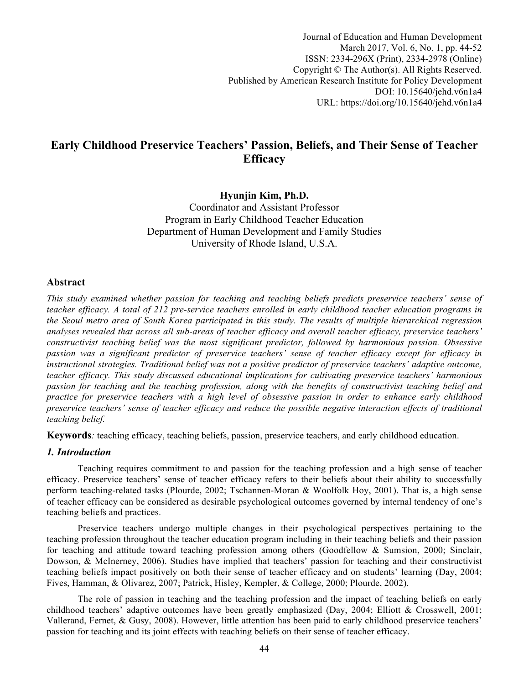Journal of Education and Human Development March 2017, Vol. 6, No. 1, pp. 44-52 ISSN: 2334-296X (Print), 2334-2978 (Online) Copyright © The Author(s). All Rights Reserved. Published by American Research Institute for Policy Development DOI: 10.15640/jehd.v6n1a4 URL: https://doi.org/10.15640/jehd.v6n1a4

# **Early Childhood Preservice Teachers' Passion, Beliefs, and Their Sense of Teacher Efficacy**

# **Hyunjin Kim, Ph.D.**

Coordinator and Assistant Professor Program in Early Childhood Teacher Education Department of Human Development and Family Studies University of Rhode Island, U.S.A.

# **Abstract**

*This study examined whether passion for teaching and teaching beliefs predicts preservice teachers' sense of teacher efficacy. A total of 212 pre-service teachers enrolled in early childhood teacher education programs in the Seoul metro area of South Korea participated in this study. The results of multiple hierarchical regression analyses revealed that across all sub-areas of teacher efficacy and overall teacher efficacy, preservice teachers' constructivist teaching belief was the most significant predictor, followed by harmonious passion. Obsessive passion was a significant predictor of preservice teachers' sense of teacher efficacy except for efficacy in instructional strategies. Traditional belief was not a positive predictor of preservice teachers' adaptive outcome, teacher efficacy. This study discussed educational implications for cultivating preservice teachers' harmonious passion for teaching and the teaching profession, along with the benefits of constructivist teaching belief and practice for preservice teachers with a high level of obsessive passion in order to enhance early childhood preservice teachers' sense of teacher efficacy and reduce the possible negative interaction effects of traditional teaching belief.*

**Keywords***:* teaching efficacy, teaching beliefs, passion, preservice teachers, and early childhood education.

# *1. Introduction*

Teaching requires commitment to and passion for the teaching profession and a high sense of teacher efficacy. Preservice teachers' sense of teacher efficacy refers to their beliefs about their ability to successfully perform teaching-related tasks (Plourde, 2002; Tschannen-Moran & Woolfolk Hoy, 2001). That is, a high sense of teacher efficacy can be considered as desirable psychological outcomes governed by internal tendency of one's teaching beliefs and practices.

Preservice teachers undergo multiple changes in their psychological perspectives pertaining to the teaching profession throughout the teacher education program including in their teaching beliefs and their passion for teaching and attitude toward teaching profession among others (Goodfellow & Sumsion, 2000; Sinclair, Dowson, & McInerney, 2006). Studies have implied that teachers' passion for teaching and their constructivist teaching beliefs impact positively on both their sense of teacher efficacy and on students' learning (Day, 2004; Fives, Hamman, & Olivarez, 2007; Patrick, Hisley, Kempler, & College, 2000; Plourde, 2002).

The role of passion in teaching and the teaching profession and the impact of teaching beliefs on early childhood teachers' adaptive outcomes have been greatly emphasized (Day, 2004; Elliott & Crosswell, 2001; Vallerand, Fernet, & Gusy, 2008). However, little attention has been paid to early childhood preservice teachers' passion for teaching and its joint effects with teaching beliefs on their sense of teacher efficacy.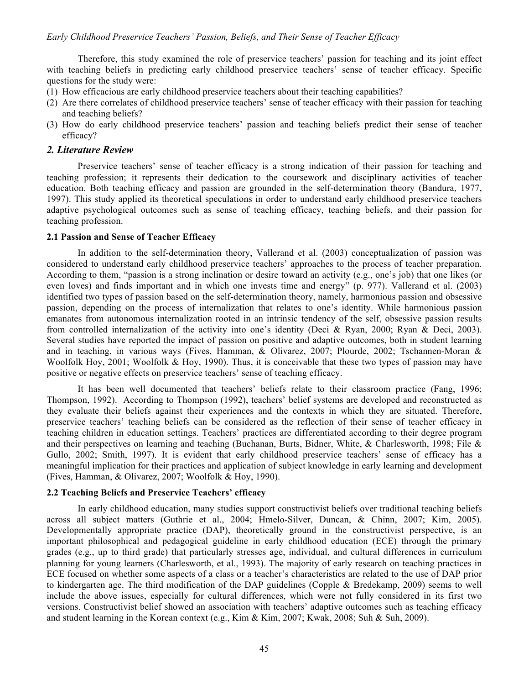Therefore, this study examined the role of preservice teachers' passion for teaching and its joint effect with teaching beliefs in predicting early childhood preservice teachers' sense of teacher efficacy. Specific questions for the study were:

- (1) How efficacious are early childhood preservice teachers about their teaching capabilities?
- (2) Are there correlates of childhood preservice teachers' sense of teacher efficacy with their passion for teaching and teaching beliefs?
- (3) How do early childhood preservice teachers' passion and teaching beliefs predict their sense of teacher efficacy?

# *2. Literature Review*

Preservice teachers' sense of teacher efficacy is a strong indication of their passion for teaching and teaching profession; it represents their dedication to the coursework and disciplinary activities of teacher education. Both teaching efficacy and passion are grounded in the self-determination theory (Bandura, 1977, 1997). This study applied its theoretical speculations in order to understand early childhood preservice teachers adaptive psychological outcomes such as sense of teaching efficacy, teaching beliefs, and their passion for teaching profession.

#### **2.1 Passion and Sense of Teacher Efficacy**

In addition to the self-determination theory, Vallerand et al. (2003) conceptualization of passion was considered to understand early childhood preservice teachers' approaches to the process of teacher preparation. According to them, "passion is a strong inclination or desire toward an activity (e.g., one's job) that one likes (or even loves) and finds important and in which one invests time and energy" (p. 977). Vallerand et al. (2003) identified two types of passion based on the self-determination theory, namely, harmonious passion and obsessive passion, depending on the process of internalization that relates to one's identity. While harmonious passion emanates from autonomous internalization rooted in an intrinsic tendency of the self, obsessive passion results from controlled internalization of the activity into one's identity (Deci & Ryan, 2000; Ryan & Deci, 2003). Several studies have reported the impact of passion on positive and adaptive outcomes, both in student learning and in teaching, in various ways (Fives, Hamman, & Olivarez, 2007; Plourde, 2002; Tschannen-Moran & Woolfolk Hoy, 2001; Woolfolk & Hoy, 1990). Thus, it is conceivable that these two types of passion may have positive or negative effects on preservice teachers' sense of teaching efficacy.

It has been well documented that teachers' beliefs relate to their classroom practice (Fang, 1996; Thompson, 1992). According to Thompson (1992), teachers' belief systems are developed and reconstructed as they evaluate their beliefs against their experiences and the contexts in which they are situated. Therefore, preservice teachers' teaching beliefs can be considered as the reflection of their sense of teacher efficacy in teaching children in education settings. Teachers' practices are differentiated according to their degree program and their perspectives on learning and teaching (Buchanan, Burts, Bidner, White, & Charlesworth, 1998; File & Gullo, 2002; Smith, 1997). It is evident that early childhood preservice teachers' sense of efficacy has a meaningful implication for their practices and application of subject knowledge in early learning and development (Fives, Hamman, & Olivarez, 2007; Woolfolk & Hoy, 1990).

#### **2.2 Teaching Beliefs and Preservice Teachers' efficacy**

In early childhood education, many studies support constructivist beliefs over traditional teaching beliefs across all subject matters (Guthrie et al., 2004; Hmelo-Silver, Duncan, & Chinn, 2007; Kim, 2005). Developmentally appropriate practice (DAP), theoretically ground in the constructivist perspective, is an important philosophical and pedagogical guideline in early childhood education (ECE) through the primary grades (e.g., up to third grade) that particularly stresses age, individual, and cultural differences in curriculum planning for young learners (Charlesworth, et al., 1993). The majority of early research on teaching practices in ECE focused on whether some aspects of a class or a teacher's characteristics are related to the use of DAP prior to kindergarten age. The third modification of the DAP guidelines (Copple & Bredekamp, 2009) seems to well include the above issues, especially for cultural differences, which were not fully considered in its first two versions. Constructivist belief showed an association with teachers' adaptive outcomes such as teaching efficacy and student learning in the Korean context (e.g., Kim & Kim, 2007; Kwak, 2008; Suh & Suh, 2009).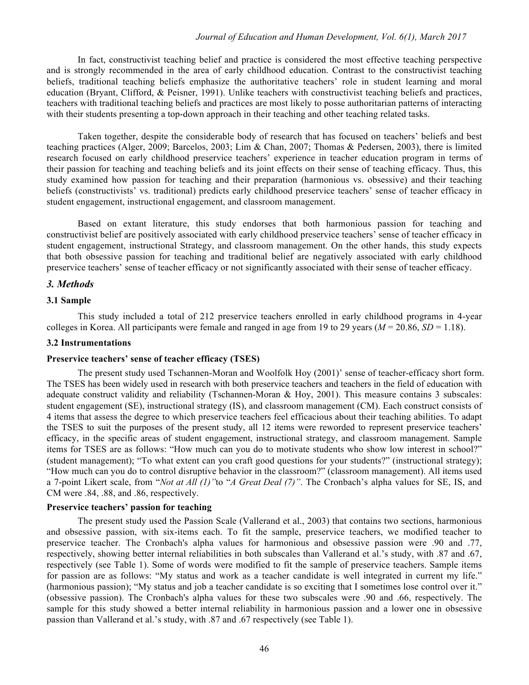#### *Journal of Education and Human Development, Vol. 6(1), March 2017*

In fact, constructivist teaching belief and practice is considered the most effective teaching perspective and is strongly recommended in the area of early childhood education. Contrast to the constructivist teaching beliefs, traditional teaching beliefs emphasize the authoritative teachers' role in student learning and moral education (Bryant, Clifford, & Peisner, 1991). Unlike teachers with constructivist teaching beliefs and practices, teachers with traditional teaching beliefs and practices are most likely to posse authoritarian patterns of interacting with their students presenting a top-down approach in their teaching and other teaching related tasks.

Taken together, despite the considerable body of research that has focused on teachers' beliefs and best teaching practices (Alger, 2009; Barcelos, 2003; Lim & Chan, 2007; Thomas & Pedersen, 2003), there is limited research focused on early childhood preservice teachers' experience in teacher education program in terms of their passion for teaching and teaching beliefs and its joint effects on their sense of teaching efficacy. Thus, this study examined how passion for teaching and their preparation (harmonious vs. obsessive) and their teaching beliefs (constructivists' vs. traditional) predicts early childhood preservice teachers' sense of teacher efficacy in student engagement, instructional engagement, and classroom management.

Based on extant literature, this study endorses that both harmonious passion for teaching and constructivist belief are positively associated with early childhood preservice teachers' sense of teacher efficacy in student engagement, instructional Strategy, and classroom management. On the other hands, this study expects that both obsessive passion for teaching and traditional belief are negatively associated with early childhood preservice teachers' sense of teacher efficacy or not significantly associated with their sense of teacher efficacy.

#### *3. Methods*

#### **3.1 Sample**

This study included a total of 212 preservice teachers enrolled in early childhood programs in 4-year colleges in Korea. All participants were female and ranged in age from 19 to 29 years ( $M = 20.86$ ,  $SD = 1.18$ ).

#### **3.2 Instrumentations**

#### **Preservice teachers' sense of teacher efficacy (TSES)**

The present study used Tschannen-Moran and Woolfolk Hoy (2001)' sense of teacher-efficacy short form. The TSES has been widely used in research with both preservice teachers and teachers in the field of education with adequate construct validity and reliability (Tschannen-Moran & Hoy, 2001). This measure contains 3 subscales: student engagement (SE), instructional strategy (IS), and classroom management (CM). Each construct consists of 4 items that assess the degree to which preservice teachers feel efficacious about their teaching abilities. To adapt the TSES to suit the purposes of the present study, all 12 items were reworded to represent preservice teachers' efficacy, in the specific areas of student engagement, instructional strategy, and classroom management. Sample items for TSES are as follows: "How much can you do to motivate students who show low interest in school?" (student management); "To what extent can you craft good questions for your students?" (instructional strategy); "How much can you do to control disruptive behavior in the classroom?" (classroom management). All items used a 7-point Likert scale, from "*Not at All (1)"*to "*A Great Deal (7)"*. The Cronbach's alpha values for SE, IS, and CM were .84, .88, and .86, respectively.

#### **Preservice teachers' passion for teaching**

The present study used the Passion Scale (Vallerand et al., 2003) that contains two sections, harmonious and obsessive passion, with six-items each. To fit the sample, preservice teachers, we modified teacher to preservice teacher. The Cronbach's alpha values for harmonious and obsessive passion were .90 and .77, respectively, showing better internal reliabilities in both subscales than Vallerand et al.'s study, with .87 and .67, respectively (see Table 1). Some of words were modified to fit the sample of preservice teachers. Sample items for passion are as follows: "My status and work as a teacher candidate is well integrated in current my life." (harmonious passion); "My status and job a teacher candidate is so exciting that I sometimes lose control over it." (obsessive passion). The Cronbach's alpha values for these two subscales were .90 and .66, respectively. The sample for this study showed a better internal reliability in harmonious passion and a lower one in obsessive passion than Vallerand et al.'s study, with .87 and .67 respectively (see Table 1).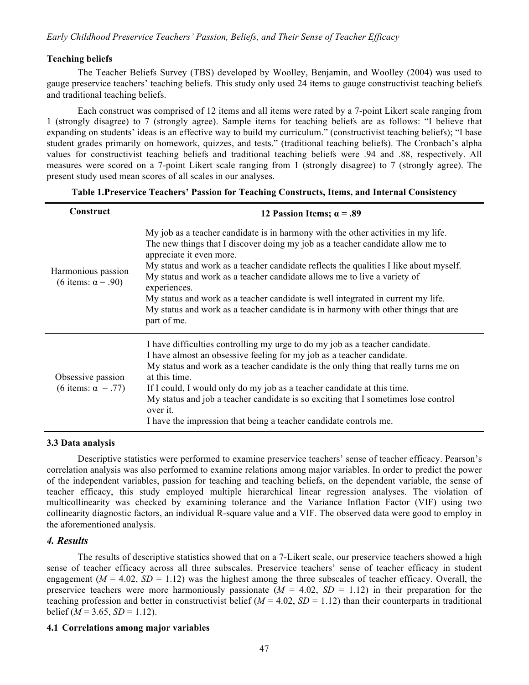# **Teaching beliefs**

The Teacher Beliefs Survey (TBS) developed by Woolley, Benjamin, and Woolley (2004) was used to gauge preservice teachers' teaching beliefs. This study only used 24 items to gauge constructivist teaching beliefs and traditional teaching beliefs.

Each construct was comprised of 12 items and all items were rated by a 7-point Likert scale ranging from 1 (strongly disagree) to 7 (strongly agree). Sample items for teaching beliefs are as follows: "I believe that expanding on students' ideas is an effective way to build my curriculum." (constructivist teaching beliefs); "I base student grades primarily on homework, quizzes, and tests." (traditional teaching beliefs). The Cronbach's alpha values for constructivist teaching beliefs and traditional teaching beliefs were .94 and .88, respectively. All measures were scored on a 7-point Likert scale ranging from 1 (strongly disagree) to 7 (strongly agree). The present study used mean scores of all scales in our analyses.

| Construct                                       | 12 Passion Items; $\alpha = .89$                                                                                                                                                                                                                                                                                                                                                                                                                                                                                                                                              |  |  |  |  |  |
|-------------------------------------------------|-------------------------------------------------------------------------------------------------------------------------------------------------------------------------------------------------------------------------------------------------------------------------------------------------------------------------------------------------------------------------------------------------------------------------------------------------------------------------------------------------------------------------------------------------------------------------------|--|--|--|--|--|
| Harmonious passion<br>(6 items: $\alpha$ = .90) | My job as a teacher candidate is in harmony with the other activities in my life.<br>The new things that I discover doing my job as a teacher candidate allow me to<br>appreciate it even more.<br>My status and work as a teacher candidate reflects the qualities I like about myself.<br>My status and work as a teacher candidate allows me to live a variety of<br>experiences.<br>My status and work as a teacher candidate is well integrated in current my life.<br>My status and work as a teacher candidate is in harmony with other things that are<br>part of me. |  |  |  |  |  |
| Obsessive passion<br>(6 items: $\alpha$ = .77)  | I have difficulties controlling my urge to do my job as a teacher candidate.<br>I have almost an obsessive feeling for my job as a teacher candidate.<br>My status and work as a teacher candidate is the only thing that really turns me on<br>at this time.<br>If I could, I would only do my job as a teacher candidate at this time.<br>My status and job a teacher candidate is so exciting that I sometimes lose control<br>over it.<br>I have the impression that being a teacher candidate controls me.                                                               |  |  |  |  |  |

**Table 1.Preservice Teachers' Passion for Teaching Constructs, Items, and Internal Consistency**

#### **3.3 Data analysis**

Descriptive statistics were performed to examine preservice teachers' sense of teacher efficacy. Pearson's correlation analysis was also performed to examine relations among major variables. In order to predict the power of the independent variables, passion for teaching and teaching beliefs, on the dependent variable, the sense of teacher efficacy, this study employed multiple hierarchical linear regression analyses. The violation of multicollinearity was checked by examining tolerance and the Variance Inflation Factor (VIF) using two collinearity diagnostic factors, an individual R-square value and a VIF. The observed data were good to employ in the aforementioned analysis.

# *4. Results*

The results of descriptive statistics showed that on a 7-Likert scale, our preservice teachers showed a high sense of teacher efficacy across all three subscales. Preservice teachers' sense of teacher efficacy in student engagement  $(M = 4.02, SD = 1.12)$  was the highest among the three subscales of teacher efficacy. Overall, the preservice teachers were more harmoniously passionate  $(M = 4.02, SD = 1.12)$  in their preparation for the teaching profession and better in constructivist belief  $(M = 4.02, SD = 1.12)$  than their counterparts in traditional belief ( $M = 3.65$ ,  $SD = 1.12$ ).

#### **4.1 Correlations among major variables**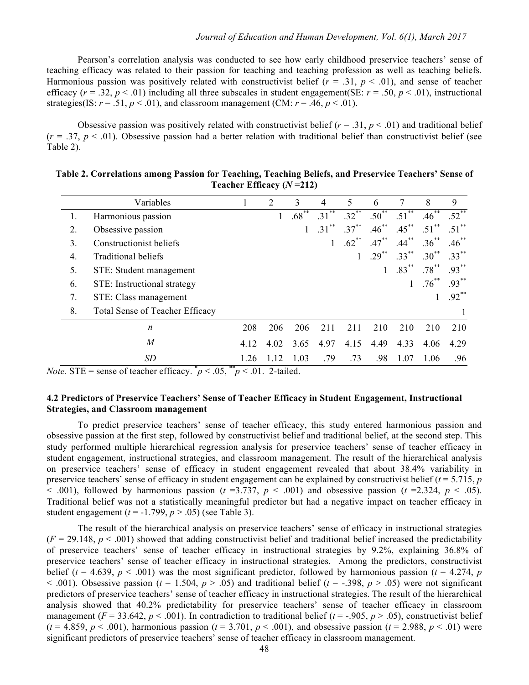Pearson's correlation analysis was conducted to see how early childhood preservice teachers' sense of teaching efficacy was related to their passion for teaching and teaching profession as well as teaching beliefs. Harmonious passion was positively related with constructivist belief  $(r = .31, p < .01)$ , and sense of teacher efficacy  $(r = .32, p < .01)$  including all three subscales in student engagement(SE:  $r = .50, p < .01$ ), instructional strategies(IS:  $r = .51$ ,  $p < .01$ ), and classroom management (CM:  $r = .46$ ,  $p < .01$ ).

Obsessive passion was positively related with constructivist belief  $(r = .31, p < .01)$  and traditional belief  $(r = .37, p < .01)$ . Obsessive passion had a better relation with traditional belief than constructivist belief (see Table 2).

|    | Variables                              |      | 2    | 3          | 4        | 5        | 6          | 7          | 8        | 9          |
|----|----------------------------------------|------|------|------------|----------|----------|------------|------------|----------|------------|
| 1. | Harmonious passion                     |      | 1    | $.68^{**}$ | $.31***$ | $.32***$ | $.50^{**}$ | $.51^{**}$ | $.46***$ | $.52^{**}$ |
| 2. | Obsessive passion                      |      |      |            | $.31***$ | $.37***$ | $.46***$   | $.45***$   | $.51***$ | $.51***$   |
| 3. | Constructionist beliefs                |      |      |            |          | $.62***$ | $.47***$   | $.44***$   | $.36***$ | $.46***$   |
| 4. | <b>Traditional beliefs</b>             |      |      |            |          |          | $.29***$   | $.33***$   | $.30***$ | $.33***$   |
| 5. | STE: Student management                |      |      |            |          |          |            | $.83***$   | $.78***$ | $.93***$   |
| 6. | STE: Instructional strategy            |      |      |            |          |          |            | 1          | $.76***$ | $.93***$   |
| 7. | STE: Class management                  |      |      |            |          |          |            |            |          | $.92***$   |
| 8. | <b>Total Sense of Teacher Efficacy</b> |      |      |            |          |          |            |            |          |            |
|    | $\boldsymbol{n}$                       | 208  | 206  | 206        | 211      | 211      | 210        | 210        | 210      | 210        |
|    | $\boldsymbol{M}$                       | 4.12 | 4.02 | 3.65       | 4.97     | 4.15     | 4.49       | 4.33       | 4.06     | 4.29       |
|    | SD                                     | 1.26 | 1.12 | 1.03       | .79      | .73      | .98        | 1.07       | 1.06     | .96        |

| Table 2. Correlations among Passion for Teaching, Teaching Beliefs, and Preservice Teachers' Sense of |  |                            |  |  |
|-------------------------------------------------------------------------------------------------------|--|----------------------------|--|--|
|                                                                                                       |  | Teacher Efficacy $(N=212)$ |  |  |

*Note.* STE = sense of teacher efficacy.  $p < .05$ ,  $p < .01$ . 2-tailed.

# **4.2 Predictors of Preservice Teachers' Sense of Teacher Efficacy in Student Engagement, Instructional Strategies, and Classroom management**

To predict preservice teachers' sense of teacher efficacy, this study entered harmonious passion and obsessive passion at the first step, followed by constructivist belief and traditional belief, at the second step. This study performed multiple hierarchical regression analysis for preservice teachers' sense of teacher efficacy in student engagement, instructional strategies, and classroom management. The result of the hierarchical analysis on preservice teachers' sense of efficacy in student engagement revealed that about 38.4% variability in preservice teachers' sense of efficacy in student engagement can be explained by constructivist belief  $(t = 5.715, p$  $(1.601)$ , followed by harmonious passion ( $t = 3.737$ ,  $p < .001$ ) and obsessive passion ( $t = 2.324$ ,  $p < .05$ ). Traditional belief was not a statistically meaningful predictor but had a negative impact on teacher efficacy in student engagement (*t* = -1.799, *p* > .05) (see Table 3).

The result of the hierarchical analysis on preservice teachers' sense of efficacy in instructional strategies  $(F = 29.148, p < .001)$  showed that adding constructivist belief and traditional belief increased the predictability of preservice teachers' sense of teacher efficacy in instructional strategies by 9.2%, explaining 36.8% of preservice teachers' sense of teacher efficacy in instructional strategies. Among the predictors, constructivist belief ( $t = 4.639$ ,  $p < .001$ ) was the most significant predictor, followed by harmonious passion ( $t = 4.274$ ,  $p$ )  $(1, 0, 0, 0)$ . Obsessive passion ( $t = 1.504$ ,  $p > .05$ ) and traditional belief ( $t = .398$ ,  $p > .05$ ) were not significant predictors of preservice teachers' sense of teacher efficacy in instructional strategies. The result of the hierarchical analysis showed that 40.2% predictability for preservice teachers' sense of teacher efficacy in classroom management ( $F = 33.642$ ,  $p < .001$ ). In contradiction to traditional belief ( $t = -0.905$ ,  $p > .05$ ), constructivist belief ( $t = 4.859$ ,  $p < .001$ ), harmonious passion ( $t = 3.701$ ,  $p < .001$ ), and obsessive passion ( $t = 2.988$ ,  $p < .01$ ) were significant predictors of preservice teachers' sense of teacher efficacy in classroom management.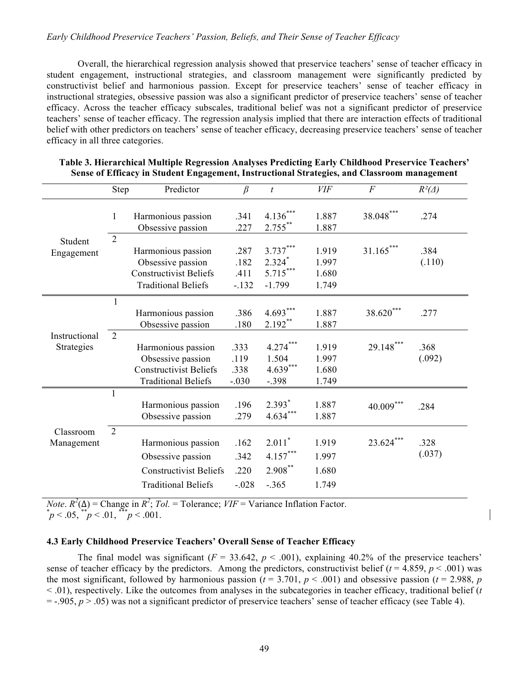# *Early Childhood Preservice Teachers' Passion, Beliefs, and Their Sense of Teacher Efficacy*

Overall, the hierarchical regression analysis showed that preservice teachers' sense of teacher efficacy in student engagement, instructional strategies, and classroom management were significantly predicted by constructivist belief and harmonious passion. Except for preservice teachers' sense of teacher efficacy in instructional strategies, obsessive passion was also a significant predictor of preservice teachers' sense of teacher efficacy. Across the teacher efficacy subscales, traditional belief was not a significant predictor of preservice teachers' sense of teacher efficacy. The regression analysis implied that there are interaction effects of traditional belief with other predictors on teachers' sense of teacher efficacy, decreasing preservice teachers' sense of teacher efficacy in all three categories.

|                             | Step           | Predictor                                                                                              | $\beta$                         | $\boldsymbol{t}$                               | <b>VIF</b>                       | $\overline{F}$ | $R^2(\Delta)$  |
|-----------------------------|----------------|--------------------------------------------------------------------------------------------------------|---------------------------------|------------------------------------------------|----------------------------------|----------------|----------------|
|                             | $\mathbf{1}$   | Harmonious passion<br>Obsessive passion                                                                | .341<br>.227                    | $4.136***$<br>$2.755***$                       | 1.887<br>1.887                   | $38.048***$    | .274           |
| Student<br>Engagement       | $\overline{2}$ | Harmonious passion<br>Obsessive passion<br><b>Constructivist Beliefs</b><br><b>Traditional Beliefs</b> | .287<br>.182<br>.411<br>$-.132$ | $3.737***$<br>$2.324*$<br>5.715***<br>$-1.799$ | 1.919<br>1.997<br>1.680<br>1.749 | $31.165***$    | .384<br>(.110) |
|                             | 1              | Harmonious passion<br>Obsessive passion                                                                | .386<br>.180                    | $4.693***$<br>$2.192***$                       | 1.887<br>1.887                   | 38.620***      | .277           |
| Instructional<br>Strategies | 2              | Harmonious passion<br>Obsessive passion<br><b>Constructivist Beliefs</b><br><b>Traditional Beliefs</b> | .333<br>.119<br>.338<br>$-.030$ | $4.274***$<br>1.504<br>$4.639***$<br>$-.398$   | 1.919<br>1.997<br>1.680<br>1.749 | 29.148***      | .368<br>(.092) |
|                             | 1              | Harmonious passion<br>Obsessive passion                                                                | .196<br>.279                    | $2.393*$<br>$4.634***$                         | 1.887<br>1.887                   | $40.009***$    | .284           |
| Classroom<br>Management     | $\overline{2}$ | Harmonious passion<br>Obsessive passion<br><b>Constructivist Beliefs</b><br><b>Traditional Beliefs</b> | .162<br>.342<br>.220<br>$-.028$ | $2.011*$<br>$4.157***$<br>2.908**<br>$-.365$   | 1.919<br>1.997<br>1.680<br>1.749 | $23.624***$    | .328<br>(.037) |

| Table 3. Hierarchical Multiple Regression Analyses Predicting Early Childhood Preservice Teachers' |
|----------------------------------------------------------------------------------------------------|
| Sense of Efficacy in Student Engagement, Instructional Strategies, and Classroom management        |

*Note*.  $R^2(\Delta)$  = Change in  $R^2$ ; *Tol.* = Tolerance; *VIF* = Variance Inflation Factor.  $p^* p < .05$ ,  $p^* p < .01$ ,  $p^* p < .001$ .

# **4.3 Early Childhood Preservice Teachers' Overall Sense of Teacher Efficacy**

The final model was significant  $(F = 33.642, p < .001)$ , explaining 40.2% of the preservice teachers' sense of teacher efficacy by the predictors. Among the predictors, constructivist belief ( $t = 4.859$ ,  $p < .001$ ) was the most significant, followed by harmonious passion ( $t = 3.701$ ,  $p < .001$ ) and obsessive passion ( $t = 2.988$ ,  $p$ ) < .01), respectively. Like the outcomes from analyses in the subcategories in teacher efficacy, traditional belief (*t*   $=$  -.905,  $p > .05$ ) was not a significant predictor of preservice teachers' sense of teacher efficacy (see Table 4).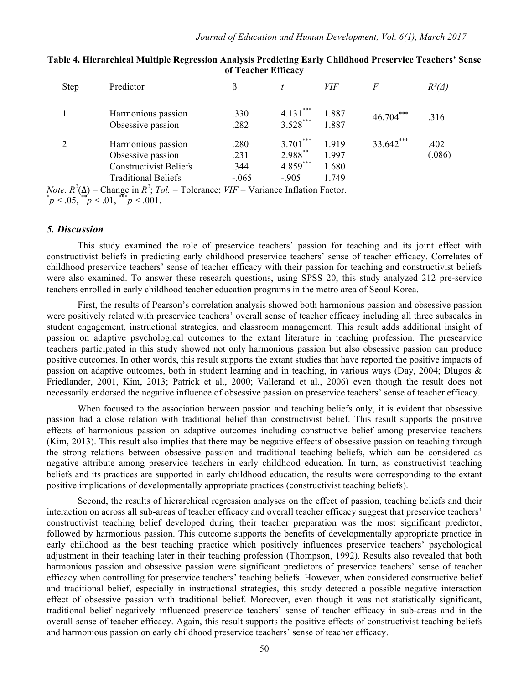| <b>Step</b> | Predictor                                                                                              |                                 |                                                | VIF                             | F           | $R^2(\Delta)$  |
|-------------|--------------------------------------------------------------------------------------------------------|---------------------------------|------------------------------------------------|---------------------------------|-------------|----------------|
|             | Harmonious passion<br>Obsessive passion                                                                | .330<br>.282                    | ***<br>$4.131$ <sup>*</sup><br>$3.528***$      | 1.887<br>1.887                  | $46.704***$ | 316            |
|             | Harmonious passion<br>Obsessive passion<br><b>Constructivist Beliefs</b><br><b>Traditional Beliefs</b> | .280<br>.231<br>.344<br>$-.065$ | ***<br>3.701<br>2.988**<br>4.859***<br>$-.905$ | 1919<br>1.997<br>1.680<br>1.749 | $33.642***$ | .402<br>(.086) |

| Table 4. Hierarchical Multiple Regression Analysis Predicting Early Childhood Preservice Teachers' Sense |  |
|----------------------------------------------------------------------------------------------------------|--|
| of Teacher Efficacy                                                                                      |  |

*Note.*  $R^2(\Delta)$  = Change in  $R^2$ ; *Tol.* = Tolerance;  $VIF$  = Variance Inflation Factor.  $p^* p < .05$ ,  $p^* p < .01$ ,  $p^* p < .001$ .

### *5. Discussion*

This study examined the role of preservice teachers' passion for teaching and its joint effect with constructivist beliefs in predicting early childhood preservice teachers' sense of teacher efficacy. Correlates of childhood preservice teachers' sense of teacher efficacy with their passion for teaching and constructivist beliefs were also examined. To answer these research questions, using SPSS 20, this study analyzed 212 pre-service teachers enrolled in early childhood teacher education programs in the metro area of Seoul Korea.

First, the results of Pearson's correlation analysis showed both harmonious passion and obsessive passion were positively related with preservice teachers' overall sense of teacher efficacy including all three subscales in student engagement, instructional strategies, and classroom management. This result adds additional insight of passion on adaptive psychological outcomes to the extant literature in teaching profession. The presearvice teachers participated in this study showed not only harmonious passion but also obsessive passion can produce positive outcomes. In other words, this result supports the extant studies that have reported the positive impacts of passion on adaptive outcomes, both in student learning and in teaching, in various ways (Day, 2004; Dlugos & Friedlander, 2001, Kim, 2013; Patrick et al., 2000; Vallerand et al., 2006) even though the result does not necessarily endorsed the negative influence of obsessive passion on preservice teachers' sense of teacher efficacy.

When focused to the association between passion and teaching beliefs only, it is evident that obsessive passion had a close relation with traditional belief than constructivist belief. This result supports the positive effects of harmonious passion on adaptive outcomes including constructive belief among preservice teachers (Kim, 2013). This result also implies that there may be negative effects of obsessive passion on teaching through the strong relations between obsessive passion and traditional teaching beliefs, which can be considered as negative attribute among preservice teachers in early childhood education. In turn, as constructivist teaching beliefs and its practices are supported in early childhood education, the results were corresponding to the extant positive implications of developmentally appropriate practices (constructivist teaching beliefs).

Second, the results of hierarchical regression analyses on the effect of passion, teaching beliefs and their interaction on across all sub-areas of teacher efficacy and overall teacher efficacy suggest that preservice teachers' constructivist teaching belief developed during their teacher preparation was the most significant predictor, followed by harmonious passion. This outcome supports the benefits of developmentally appropriate practice in early childhood as the best teaching practice which positively influences preservice teachers' psychological adjustment in their teaching later in their teaching profession (Thompson, 1992). Results also revealed that both harmonious passion and obsessive passion were significant predictors of preservice teachers' sense of teacher efficacy when controlling for preservice teachers' teaching beliefs. However, when considered constructive belief and traditional belief, especially in instructional strategies, this study detected a possible negative interaction effect of obsessive passion with traditional belief. Moreover, even though it was not statistically significant, traditional belief negatively influenced preservice teachers' sense of teacher efficacy in sub-areas and in the overall sense of teacher efficacy. Again, this result supports the positive effects of constructivist teaching beliefs and harmonious passion on early childhood preservice teachers' sense of teacher efficacy.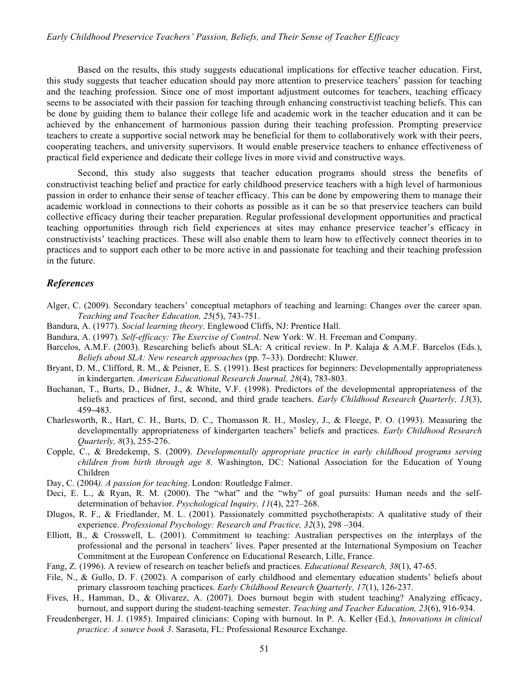#### *Early Childhood Preservice Teachers' Passion, Beliefs, and Their Sense of Teacher Efficacy*

Based on the results, this study suggests educational implications for effective teacher education. First, this study suggests that teacher education should pay more attention to preservice teachers' passion for teaching and the teaching profession. Since one of most important adjustment outcomes for teachers, teaching efficacy seems to be associated with their passion for teaching through enhancing constructivist teaching beliefs. This can be done by guiding them to balance their college life and academic work in the teacher education and it can be achieved by the enhancement of harmonious passion during their teaching profession. Prompting preservice teachers to create a supportive social network may be beneficial for them to collaboratively work with their peers, cooperating teachers, and university supervisors. It would enable preservice teachers to enhance effectiveness of practical field experience and dedicate their college lives in more vivid and constructive ways.

Second, this study also suggests that teacher education programs should stress the benefits of constructivist teaching belief and practice for early childhood preservice teachers with a high level of harmonious passion in order to enhance their sense of teacher efficacy. This can be done by empowering them to manage their academic workload in connections to their cohorts as possible as it can be so that preservice teachers can build collective efficacy during their teacher preparation. Regular professional development opportunities and practical teaching opportunities through rich field experiences at sites may enhance preservice teacher's efficacy in constructivists' teaching practices. These will also enable them to learn how to effectively connect theories in to practices and to support each other to be more active in and passionate for teaching and their teaching profession in the future.

### *References*

- Alger, C. (2009). Secondary teachers' conceptual metaphors of teaching and learning: Changes over the career span. *Teaching and Teacher Education, 25*(5), 743-751.
- Bandura, A. (1977). *Social learning theory*. Englewood Cliffs, NJ: Prentice Hall.
- Bandura, A. (1997). *Self-efficacy: The Exercise of Control*. New York: W. H. Freeman and Company.
- Barcelos, A.M.F. (2003). Researching beliefs about SLA: A critical review. In P. Kalaja & A.M.F. Barcelos (Eds.), *Beliefs about SLA: New research approaches* (pp. 7**–**33). Dordrecht: Kluwer.
- Bryant, D. M., Clifford, R. M., & Peisner, E. S. (1991). Best practices for beginners: Developmentally appropriateness in kindergarten. *American Educational Research Journal, 28*(4), 783-803.
- Buchanan, T., Burts, D., Bidner, J., & White, V.F. (1998). Predictors of the developmental appropriateness of the beliefs and practices of first, second, and third grade teachers. *Early Childhood Research Quarterly, 13*(3), 459**–**483.
- Charlesworth, R., Hart, C. H., Burts, D. C., Thomasson R. H., Mosley, J., & Fleege, P. O. (1993). Measuring the developmentally appropriateness of kindergarten teachers' beliefs and practices. *Early Childhood Research Quarterly, 8*(3), 255-276.
- Copple, C., & Bredekemp, S. (2009). *Developmentally appropriate practice in early childhood programs serving children from birth through age 8*. Washington, DC: National Association for the Education of Young Children
- Day, C. (2004*). A passion for teaching*. London: Routledge Falmer.
- Deci, E. L., & Ryan, R. M. (2000). The "what" and the "why" of goal pursuits: Human needs and the selfdetermination of behavior. *Psychological Inquiry, 11*(4), 227–268.
- Dlugos, R. F., & Friedlander, M. L. (2001). Passionately committed psychotherapists: A qualitative study of their experience. *Professional Psychology: Research and Practice, 32*(3), 298 –304.
- Elliott, B., & Crosswell, L. (2001). Commitment to teaching: Australian perspectives on the interplays of the professional and the personal in teachers' lives. Paper presented at the International Symposium on Teacher Commitment at the European Conference on Educational Research, Lille, France.
- Fang, Z. (1996). A review of research on teacher beliefs and practices. *Educational Research, 38*(1), 47-65.
- File, N., & Gullo, D. F. (2002). A comparison of early childhood and elementary education students' beliefs about primary classroom teaching practices. *Early Childhood Research Quarterly, 17*(1), 126-237.
- Fives, H., Hamman, D., & Olivarez, A. (2007). Does burnout begin with student teaching? Analyzing efficacy, burnout, and support during the student-teaching semester. *Teaching and Teacher Education, 23*(6), 916-934.
- Freudenberger, H. J. (1985). Impaired clinicians: Coping with burnout. In P. A. Keller (Ed.), *Innovations in clinical practice: A source book 3*. Sarasota, FL: Professional Resource Exchange.